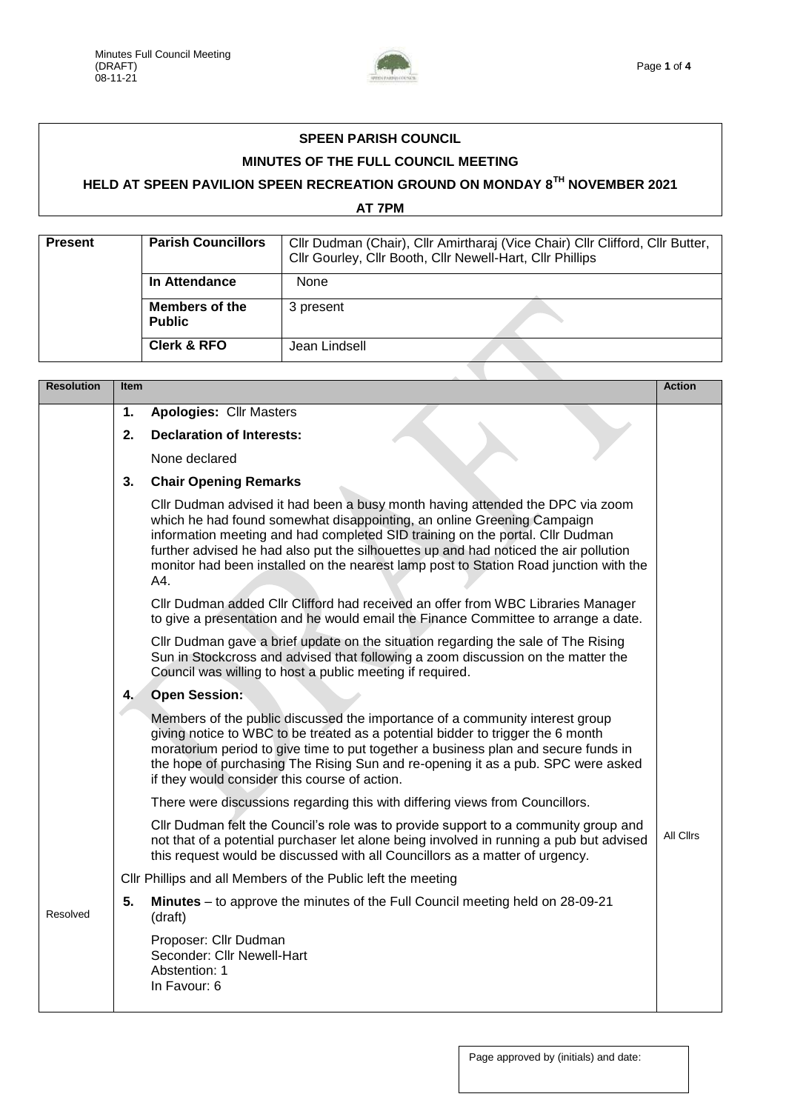

## **SPEEN PARISH COUNCIL MINUTES OF THE FULL COUNCIL MEETING**

## **HELD AT SPEEN PAVILION SPEEN RECREATION GROUND ON MONDAY 8TH NOVEMBER 2021**

**AT 7PM** 

| <b>Present</b> | <b>Parish Councillors</b>              | Cllr Dudman (Chair), Cllr Amirtharaj (Vice Chair) Cllr Clifford, Cllr Butter,<br>Cllr Gourley, Cllr Booth, Cllr Newell-Hart, Cllr Phillips |  |  |
|----------------|----------------------------------------|--------------------------------------------------------------------------------------------------------------------------------------------|--|--|
|                | In Attendance                          | None                                                                                                                                       |  |  |
|                | <b>Members of the</b><br><b>Public</b> | 3 present                                                                                                                                  |  |  |
|                | <b>Clerk &amp; RFO</b>                 | Jean Lindsell                                                                                                                              |  |  |
|                |                                        |                                                                                                                                            |  |  |

| <b>Resolution</b> | Item |                                                                                                                                                                                                                                                                                                                                                                                                                                  | <b>Action</b> |
|-------------------|------|----------------------------------------------------------------------------------------------------------------------------------------------------------------------------------------------------------------------------------------------------------------------------------------------------------------------------------------------------------------------------------------------------------------------------------|---------------|
|                   | 1.   | <b>Apologies: Cllr Masters</b>                                                                                                                                                                                                                                                                                                                                                                                                   |               |
|                   | 2.   | <b>Declaration of Interests:</b>                                                                                                                                                                                                                                                                                                                                                                                                 |               |
|                   |      | None declared                                                                                                                                                                                                                                                                                                                                                                                                                    |               |
|                   | 3.   | <b>Chair Opening Remarks</b>                                                                                                                                                                                                                                                                                                                                                                                                     |               |
|                   |      | Cllr Dudman advised it had been a busy month having attended the DPC via zoom<br>which he had found somewhat disappointing, an online Greening Campaign<br>information meeting and had completed SID training on the portal. Cllr Dudman<br>further advised he had also put the silhouettes up and had noticed the air pollution<br>monitor had been installed on the nearest lamp post to Station Road junction with the<br>A4. |               |
|                   |      | Cllr Dudman added Cllr Clifford had received an offer from WBC Libraries Manager<br>to give a presentation and he would email the Finance Committee to arrange a date.                                                                                                                                                                                                                                                           |               |
|                   |      | CIIr Dudman gave a brief update on the situation regarding the sale of The Rising<br>Sun in Stockcross and advised that following a zoom discussion on the matter the<br>Council was willing to host a public meeting if required.                                                                                                                                                                                               |               |
|                   | 4.   | <b>Open Session:</b>                                                                                                                                                                                                                                                                                                                                                                                                             |               |
|                   |      | Members of the public discussed the importance of a community interest group<br>giving notice to WBC to be treated as a potential bidder to trigger the 6 month<br>moratorium period to give time to put together a business plan and secure funds in<br>the hope of purchasing The Rising Sun and re-opening it as a pub. SPC were asked<br>if they would consider this course of action.                                       |               |
|                   |      | There were discussions regarding this with differing views from Councillors.                                                                                                                                                                                                                                                                                                                                                     |               |
|                   |      | CIIr Dudman felt the Council's role was to provide support to a community group and<br>not that of a potential purchaser let alone being involved in running a pub but advised<br>this request would be discussed with all Councillors as a matter of urgency.                                                                                                                                                                   | All Clirs     |
|                   |      | Cllr Phillips and all Members of the Public left the meeting                                                                                                                                                                                                                                                                                                                                                                     |               |
| Resolved          | 5.   | Minutes - to approve the minutes of the Full Council meeting held on 28-09-21<br>(draft)                                                                                                                                                                                                                                                                                                                                         |               |
|                   |      | Proposer: Cllr Dudman<br>Seconder: Cllr Newell-Hart<br>Abstention: 1<br>In Favour: 6                                                                                                                                                                                                                                                                                                                                             |               |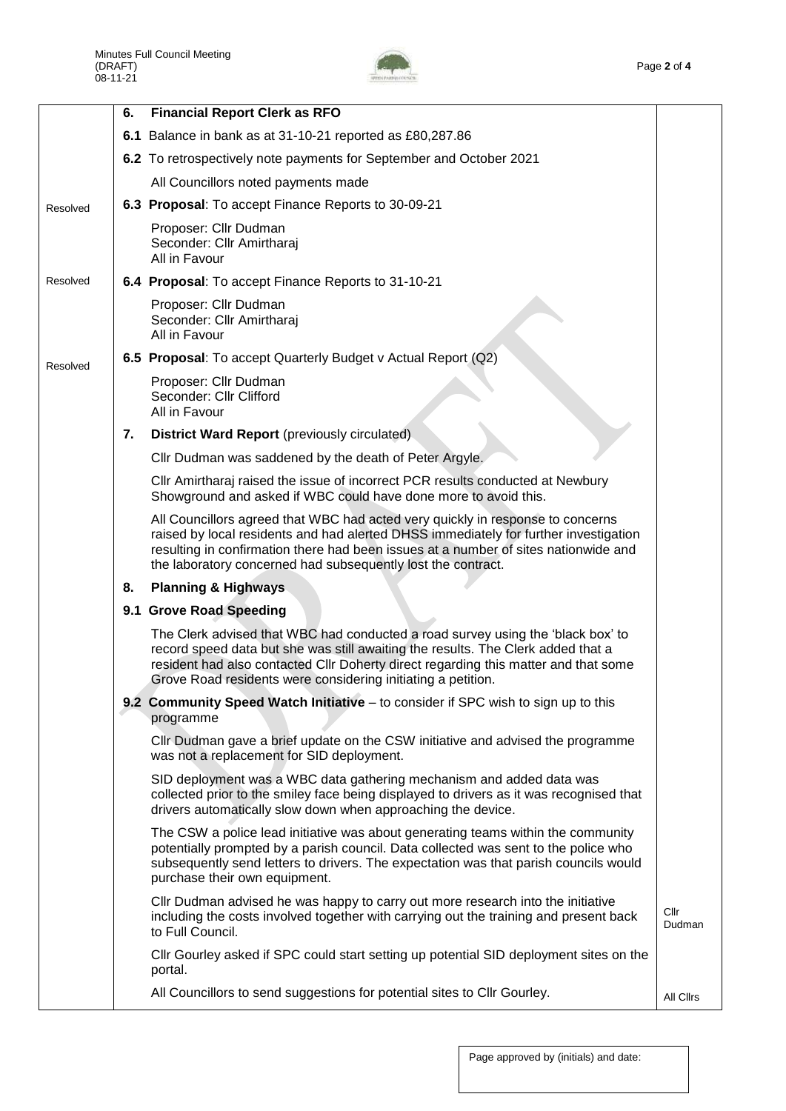

|          | 6. | <b>Financial Report Clerk as RFO</b>                                                                                                                                                                                                                                                                                          |                  |
|----------|----|-------------------------------------------------------------------------------------------------------------------------------------------------------------------------------------------------------------------------------------------------------------------------------------------------------------------------------|------------------|
|          |    | 6.1 Balance in bank as at 31-10-21 reported as £80,287.86                                                                                                                                                                                                                                                                     |                  |
|          |    | 6.2 To retrospectively note payments for September and October 2021                                                                                                                                                                                                                                                           |                  |
|          |    | All Councillors noted payments made                                                                                                                                                                                                                                                                                           |                  |
| Resolved |    | 6.3 Proposal: To accept Finance Reports to 30-09-21                                                                                                                                                                                                                                                                           |                  |
|          |    | Proposer: Cllr Dudman<br>Seconder: Cllr Amirtharaj<br>All in Favour                                                                                                                                                                                                                                                           |                  |
| Resolved |    | 6.4 Proposal: To accept Finance Reports to 31-10-21                                                                                                                                                                                                                                                                           |                  |
|          |    | Proposer: Cllr Dudman<br>Seconder: Cllr Amirtharaj<br>All in Favour                                                                                                                                                                                                                                                           |                  |
| Resolved |    | 6.5 Proposal: To accept Quarterly Budget v Actual Report (Q2)                                                                                                                                                                                                                                                                 |                  |
|          |    | Proposer: Cllr Dudman<br>Seconder: Cllr Clifford<br>All in Favour                                                                                                                                                                                                                                                             |                  |
|          | 7. | <b>District Ward Report (previously circulated)</b>                                                                                                                                                                                                                                                                           |                  |
|          |    | Cllr Dudman was saddened by the death of Peter Argyle.                                                                                                                                                                                                                                                                        |                  |
|          |    | CIIr Amirtharaj raised the issue of incorrect PCR results conducted at Newbury<br>Showground and asked if WBC could have done more to avoid this.                                                                                                                                                                             |                  |
|          |    | All Councillors agreed that WBC had acted very quickly in response to concerns<br>raised by local residents and had alerted DHSS immediately for further investigation<br>resulting in confirmation there had been issues at a number of sites nationwide and<br>the laboratory concerned had subsequently lost the contract. |                  |
|          | 8. | <b>Planning &amp; Highways</b>                                                                                                                                                                                                                                                                                                |                  |
|          |    | 9.1 Grove Road Speeding                                                                                                                                                                                                                                                                                                       |                  |
|          |    | The Clerk advised that WBC had conducted a road survey using the 'black box' to<br>record speed data but she was still awaiting the results. The Clerk added that a<br>resident had also contacted Cllr Doherty direct regarding this matter and that some<br>Grove Road residents were considering initiating a petition.    |                  |
|          |    | 9.2 Community Speed Watch Initiative - to consider if SPC wish to sign up to this<br>programme                                                                                                                                                                                                                                |                  |
|          |    | Cllr Dudman gave a brief update on the CSW initiative and advised the programme<br>was not a replacement for SID deployment.                                                                                                                                                                                                  |                  |
|          |    | SID deployment was a WBC data gathering mechanism and added data was<br>collected prior to the smiley face being displayed to drivers as it was recognised that<br>drivers automatically slow down when approaching the device.                                                                                               |                  |
|          |    | The CSW a police lead initiative was about generating teams within the community<br>potentially prompted by a parish council. Data collected was sent to the police who<br>subsequently send letters to drivers. The expectation was that parish councils would<br>purchase their own equipment.                              |                  |
|          |    | CIIr Dudman advised he was happy to carry out more research into the initiative<br>including the costs involved together with carrying out the training and present back<br>to Full Council.                                                                                                                                  | Cllr<br>Dudman   |
|          |    | Cllr Gourley asked if SPC could start setting up potential SID deployment sites on the<br>portal.                                                                                                                                                                                                                             |                  |
|          |    | All Councillors to send suggestions for potential sites to Cllr Gourley.                                                                                                                                                                                                                                                      | <b>All Clirs</b> |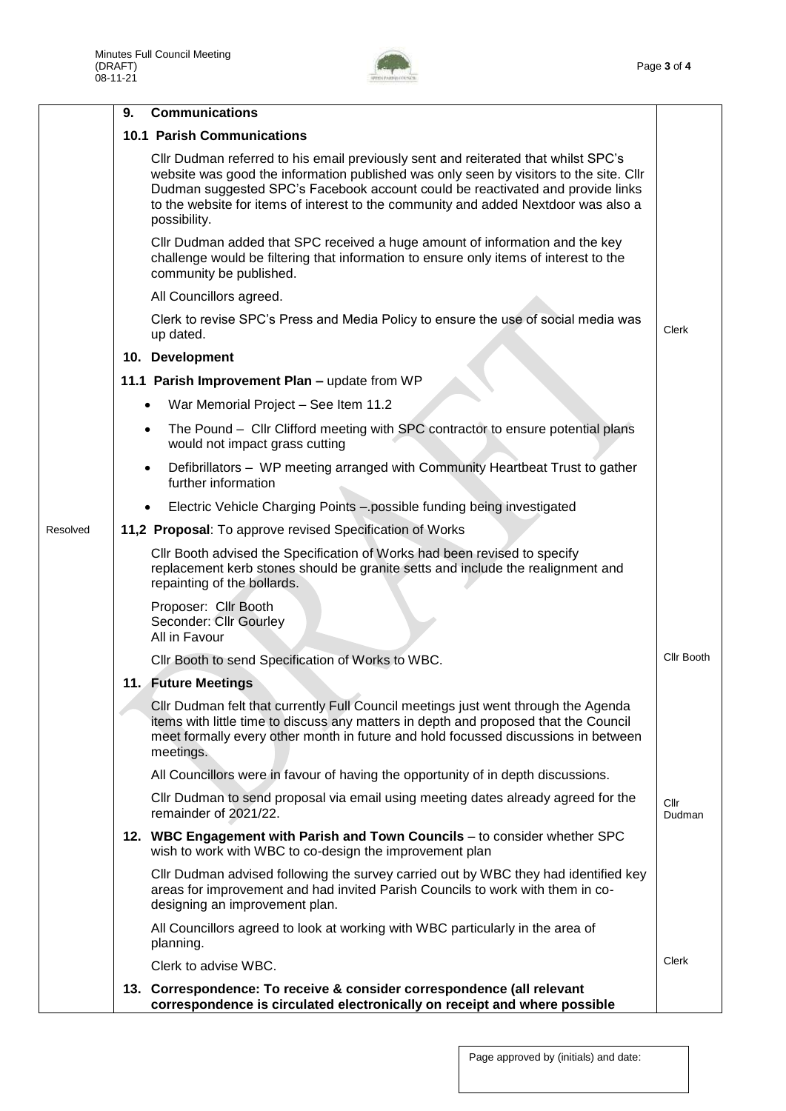

|          | 9. | <b>Communications</b>                                                                                                                                                                                                                                                                                                                                                 |                |
|----------|----|-----------------------------------------------------------------------------------------------------------------------------------------------------------------------------------------------------------------------------------------------------------------------------------------------------------------------------------------------------------------------|----------------|
|          |    | <b>10.1 Parish Communications</b>                                                                                                                                                                                                                                                                                                                                     |                |
|          |    | CIIr Dudman referred to his email previously sent and reiterated that whilst SPC's<br>website was good the information published was only seen by visitors to the site. Cllr<br>Dudman suggested SPC's Facebook account could be reactivated and provide links<br>to the website for items of interest to the community and added Nextdoor was also a<br>possibility. |                |
|          |    | Cllr Dudman added that SPC received a huge amount of information and the key<br>challenge would be filtering that information to ensure only items of interest to the<br>community be published.                                                                                                                                                                      |                |
|          |    | All Councillors agreed.                                                                                                                                                                                                                                                                                                                                               |                |
|          |    | Clerk to revise SPC's Press and Media Policy to ensure the use of social media was<br>up dated.                                                                                                                                                                                                                                                                       | Clerk          |
|          |    | 10. Development                                                                                                                                                                                                                                                                                                                                                       |                |
|          |    | 11.1 Parish Improvement Plan - update from WP                                                                                                                                                                                                                                                                                                                         |                |
|          |    | War Memorial Project - See Item 11.2<br>$\bullet$                                                                                                                                                                                                                                                                                                                     |                |
|          |    | The Pound - Cllr Clifford meeting with SPC contractor to ensure potential plans<br>$\bullet$<br>would not impact grass cutting                                                                                                                                                                                                                                        |                |
|          |    | Defibrillators - WP meeting arranged with Community Heartbeat Trust to gather<br>$\bullet$<br>further information                                                                                                                                                                                                                                                     |                |
|          |    | Electric Vehicle Charging Points - possible funding being investigated<br>$\bullet$                                                                                                                                                                                                                                                                                   |                |
| Resolved |    | 11,2 Proposal: To approve revised Specification of Works                                                                                                                                                                                                                                                                                                              |                |
|          |    | CIIr Booth advised the Specification of Works had been revised to specify<br>replacement kerb stones should be granite setts and include the realignment and<br>repainting of the bollards.                                                                                                                                                                           |                |
|          |    | Proposer: Cllr Booth<br>Seconder: Cllr Gourley<br>All in Favour                                                                                                                                                                                                                                                                                                       |                |
|          |    | Cllr Booth to send Specification of Works to WBC.                                                                                                                                                                                                                                                                                                                     | Cllr Booth     |
|          |    | 11. Future Meetings                                                                                                                                                                                                                                                                                                                                                   |                |
|          |    | CIIr Dudman felt that currently Full Council meetings just went through the Agenda<br>items with little time to discuss any matters in depth and proposed that the Council<br>meet formally every other month in future and hold focussed discussions in between<br>meetings.                                                                                         |                |
|          |    | All Councillors were in favour of having the opportunity of in depth discussions.                                                                                                                                                                                                                                                                                     |                |
|          |    | CIIr Dudman to send proposal via email using meeting dates already agreed for the<br>remainder of 2021/22.                                                                                                                                                                                                                                                            | Cllr<br>Dudman |
|          |    | 12. WBC Engagement with Parish and Town Councils - to consider whether SPC<br>wish to work with WBC to co-design the improvement plan                                                                                                                                                                                                                                 |                |
|          |    | CIIr Dudman advised following the survey carried out by WBC they had identified key<br>areas for improvement and had invited Parish Councils to work with them in co-<br>designing an improvement plan.                                                                                                                                                               |                |
|          |    | All Councillors agreed to look at working with WBC particularly in the area of<br>planning.                                                                                                                                                                                                                                                                           |                |
|          |    | Clerk to advise WBC.                                                                                                                                                                                                                                                                                                                                                  | Clerk          |
|          |    | 13. Correspondence: To receive & consider correspondence (all relevant<br>correspondence is circulated electronically on receipt and where possible                                                                                                                                                                                                                   |                |